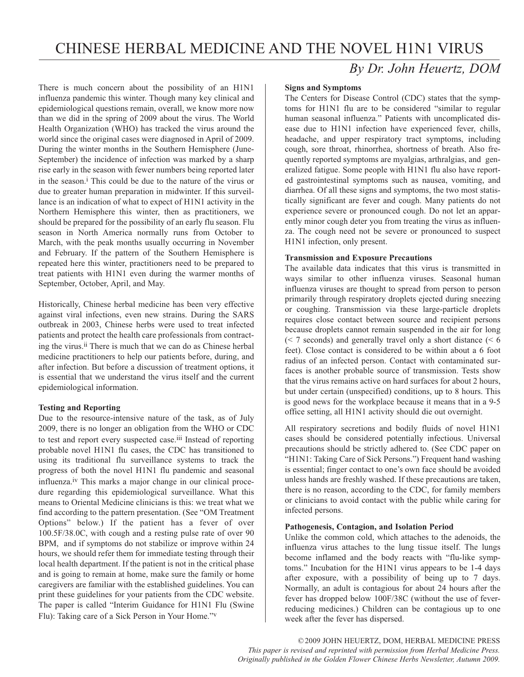There is much concern about the possibility of an H1N1 influenza pandemic this winter. Though many key clinical and epidemiological questions remain, overall, we know more now than we did in the spring of 2009 about the virus. The World Health Organization (WHO) has tracked the virus around the world since the original cases were diagnosed in April of 2009. During the winter months in the Southern Hemisphere (June-September) the incidence of infection was marked by a sharp rise early in the season with fewer numbers being reported later in the season.<sup>i</sup> This could be due to the nature of the virus or due to greater human preparation in midwinter. If this surveillance is an indication of what to expect of H1N1 activity in the Northern Hemisphere this winter, then as practitioners, we should be prepared for the possibility of an early flu season. Flu season in North America normally runs from October to March, with the peak months usually occurring in November and February. If the pattern of the Southern Hemisphere is repeated here this winter, practitioners need to be prepared to treat patients with H1N1 even during the warmer months of September, October, April, and May.

Historically, Chinese herbal medicine has been very effective against viral infections, even new strains. During the SARS outbreak in 2003, Chinese herbs were used to treat infected patients and protect the health care professionals from contracting the virus.<sup>ii</sup> There is much that we can do as Chinese herbal medicine practitioners to help our patients before, during, and after infection. But before a discussion of treatment options, it is essential that we understand the virus itself and the current epidemiological information.

# **Testing and Reporting**

Due to the resource-intensive nature of the task, as of July 2009, there is no longer an obligation from the WHO or CDC to test and report every suspected case.<sup>iii</sup> Instead of reporting probable novel H1N1 flu cases, the CDC has transitioned to using its traditional flu surveillance systems to track the progress of both the novel H1N1 flu pandemic and seasonal influenza.iv This marks a major change in our clinical procedure regarding this epidemiological surveillance. What this means to Oriental Medicine clinicians is this: we treat what we find according to the pattern presentation. (See "OM Treatment Options" below.) If the patient has a fever of over 100.5F/38.0C, with cough and a resting pulse rate of over 90 BPM, and if symptoms do not stabilize or improve within 24 hours, we should refer them for immediate testing through their local health department. If the patient is not in the critical phase and is going to remain at home, make sure the family or home caregivers are familiar with the established guidelines. You can print these guidelines for your patients from the CDC website. The paper is called "Interim Guidance for H1N1 Flu (Swine Flu): Taking care of a Sick Person in Your Home."v

# *By Dr. John Heuertz, DOM*

## **Signs and Symptoms**

The Centers for Disease Control (CDC) states that the symptoms for H1N1 flu are to be considered "similar to regular human seasonal influenza." Patients with uncomplicated disease due to H1N1 infection have experienced fever, chills, headache, and upper respiratory tract symptoms, including cough, sore throat, rhinorrhea, shortness of breath. Also frequently reported symptoms are myalgias, arthralgias, and generalized fatigue. Some people with H1N1 flu also have reported gastrointestinal symptoms such as nausea, vomiting, and diarrhea. Of all these signs and symptoms, the two most statistically significant are fever and cough. Many patients do not experience severe or pronounced cough. Do not let an apparently minor cough deter you from treating the virus as influenza. The cough need not be severe or pronounced to suspect H1N1 infection, only present.

# **Transmission and Exposure Precautions**

The available data indicates that this virus is transmitted in ways similar to other influenza viruses. Seasonal human influenza viruses are thought to spread from person to person primarily through respiratory droplets ejected during sneezing or coughing. Transmission via these large-particle droplets requires close contact between source and recipient persons because droplets cannot remain suspended in the air for long  $(< 7$  seconds) and generally travel only a short distance  $(< 6$ feet). Close contact is considered to be within about a 6 foot radius of an infected person. Contact with contaminated surfaces is another probable source of transmission. Tests show that the virus remains active on hard surfaces for about 2 hours, but under certain (unspecified) conditions, up to 8 hours. This is good news for the workplace because it means that in a 9-5 office setting, all H1N1 activity should die out overnight.

All respiratory secretions and bodily fluids of novel H1N1 cases should be considered potentially infectious. Universal precautions should be strictly adhered to. (See CDC paper on "H1N1: Taking Care of Sick Persons.") Frequent hand washing is essential; finger contact to one's own face should be avoided unless hands are freshly washed. If these precautions are taken, there is no reason, according to the CDC, for family members or clinicians to avoid contact with the public while caring for infected persons.

# **Pathogenesis, Contagion, and Isolation Period**

Unlike the common cold, which attaches to the adenoids, the influenza virus attaches to the lung tissue itself. The lungs become inflamed and the body reacts with "flu-like symptoms." Incubation for the H1N1 virus appears to be 1-4 days after exposure, with a possibility of being up to 7 days. Normally, an adult is contagious for about 24 hours after the fever has dropped below 100F/38C (without the use of feverreducing medicines.) Children can be contagious up to one week after the fever has dispersed.

©2009 JOHN HEUERTZ, DOM, HERBAL MEDICINE PRESS *This paper is revised and reprinted with permission from Herbal Medicine Press. Originally published in the Golden Flower Chinese Herbs Newsletter, Autumn 2009.*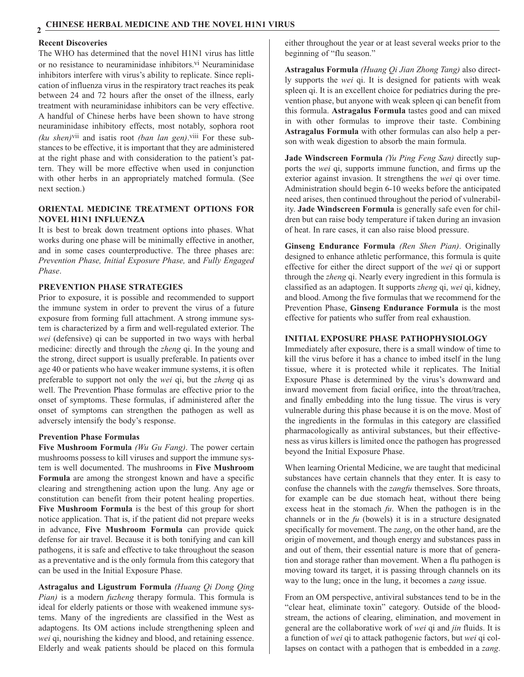## **Recent Discoveries**

The WHO has determined that the novel H1N1 virus has little or no resistance to neuraminidase inhibitors.<sup>vi</sup> Neuraminidase inhibitors interfere with virus's ability to replicate. Since replication of influenza virus in the respiratory tract reaches its peak between 24 and 72 hours after the onset of the illness, early treatment with neuraminidase inhibitors can be very effective. A handful of Chinese herbs have been shown to have strong neuraminidase inhibitory effects, most notably, sophora root *(ku shen)*vii and isatis root *(ban lan gen)*. viii For these substances to be effective, it is important that they are administered at the right phase and with consideration to the patient's pattern. They will be more effective when used in conjunction with other herbs in an appropriately matched formula. (See next section.)

## **ORIENTAL MEDICINE TREATMENT OPTIONS FOR NOVEL H1N1 INFLUENZA**

It is best to break down treatment options into phases. What works during one phase will be minimally effective in another, and in some cases counterproductive. The three phases are: *Prevention Phase, Initial Exposure Phase,* and *Fully Engaged Phase*.

## **PREVENTION PHASE STRATEGIES**

Prior to exposure, it is possible and recommended to support the immune system in order to prevent the virus of a future exposure from forming full attachment. A strong immune system is characterized by a firm and well-regulated exterior. The *wei* (defensive) qi can be supported in two ways with herbal medicine: directly and through the *zheng* qi. In the young and the strong, direct support is usually preferable. In patients over age 40 or patients who have weaker immune systems, it is often preferable to support not only the *wei* qi, but the *zheng* qi as well. The Prevention Phase formulas are effective prior to the onset of symptoms. These formulas, if administered after the onset of symptoms can strengthen the pathogen as well as adversely intensify the body's response.

#### **Prevention Phase Formulas**

**Five Mushroom Formula** *(Wu Gu Fang)*. The power certain mushrooms possess to kill viruses and support the immune system is well documented. The mushrooms in **Five Mushroom Formula** are among the strongest known and have a specific clearing and strengthening action upon the lung. Any age or constitution can benefit from their potent healing properties. **Five Mushroom Formula** is the best of this group for short notice application. That is, if the patient did not prepare weeks in advance, **Five Mushroom Formula** can provide quick defense for air travel. Because it is both tonifying and can kill pathogens, it is safe and effective to take throughout the season as a preventative and is the only formula from this category that can be used in the Initial Exposure Phase.

**Astragalus and Ligustrum Formula** *(Huang Qi Dong Qing Pian)* is a modern *fuzheng* therapy formula. This formula is ideal for elderly patients or those with weakened immune systems. Many of the ingredients are classified in the West as adaptogens. Its OM actions include strengthening spleen and *wei* qi, nourishing the kidney and blood, and retaining essence. Elderly and weak patients should be placed on this formula

either throughout the year or at least several weeks prior to the beginning of "flu season."

**Astragalus Formula** *(Huang Qi Jian Zhong Tang)* also directly supports the *wei* qi. It is designed for patients with weak spleen qi. It is an excellent choice for pediatrics during the prevention phase, but anyone with weak spleen qi can benefit from this formula. **Astragalus Formula** tastes good and can mixed in with other formulas to improve their taste. Combining **Astragalus Formula** with other formulas can also help a person with weak digestion to absorb the main formula.

**Jade Windscreen Formula** *(Yu Ping Feng San)* directly supports the *wei* qi, supports immune function, and firms up the exterior against invasion. It strengthens the *wei* qi over time. Administration should begin 6-10 weeks before the anticipated need arises, then continued throughout the period of vulnerability. **Jade Windscreen Formula** is generally safe even for children but can raise body temperature if taken during an invasion of heat. In rare cases, it can also raise blood pressure.

**Ginseng Endurance Formula** *(Ren Shen Pian)*. Originally designed to enhance athletic performance, this formula is quite effective for either the direct support of the *wei* qi or support through the *zheng* qi. Nearly every ingredient in this formula is classified as an adaptogen. It supports *zheng* qi, *wei* qi, kidney, and blood. Among the five formulas that we recommend for the Prevention Phase, **Ginseng Endurance Formula** is the most effective for patients who suffer from real exhaustion.

#### **INITIAL EXPOSURE PHASE PATHOPHYSIOLOGY**

Immediately after exposure, there is a small window of time to kill the virus before it has a chance to imbed itself in the lung tissue, where it is protected while it replicates. The Initial Exposure Phase is determined by the virus's downward and inward movement from facial orifice, into the throat/trachea, and finally embedding into the lung tissue. The virus is very vulnerable during this phase because it is on the move. Most of the ingredients in the formulas in this category are classified pharmacologically as antiviral substances, but their effectiveness as virus killers is limited once the pathogen has progressed beyond the Initial Exposure Phase.

When learning Oriental Medicine, we are taught that medicinal substances have certain channels that they enter. It is easy to confuse the channels with the *zangfu* themselves. Sore throats, for example can be due stomach heat, without there being excess heat in the stomach *fu*. When the pathogen is in the channels or in the *fu* (bowels) it is in a structure designated specifically for movement. The *zang*, on the other hand, are the origin of movement, and though energy and substances pass in and out of them, their essential nature is more that of generation and storage rather than movement. When a flu pathogen is moving toward its target, it is passing through channels on its way to the lung; once in the lung, it becomes a *zang* issue.

From an OM perspective, antiviral substances tend to be in the "clear heat, eliminate toxin" category. Outside of the bloodstream, the actions of clearing, elimination, and movement in general are the collaborative work of *wei* qi and *jin* fluids. It is a function of *wei* qi to attack pathogenic factors, but *wei* qi collapses on contact with a pathogen that is embedded in a *zang*.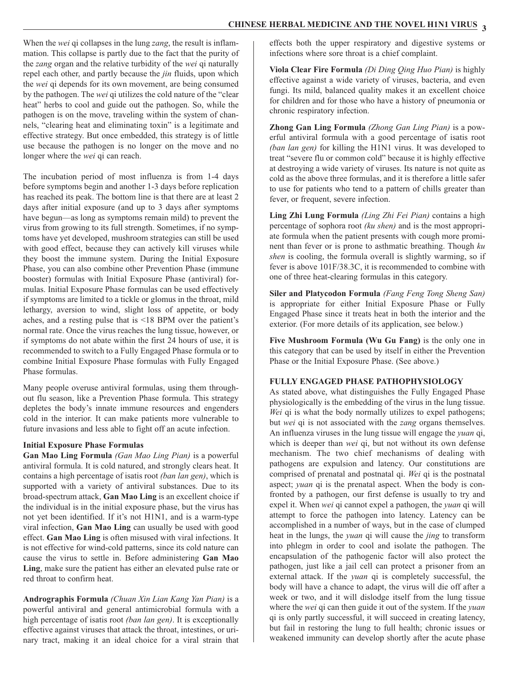When the *wei* qi collapses in the lung *zang*, the result is inflammation. This collapse is partly due to the fact that the purity of the *zang* organ and the relative turbidity of the *wei* qi naturally repel each other, and partly because the *jin* fluids, upon which the *wei* qi depends for its own movement, are being consumed by the pathogen. The *wei* qi utilizes the cold nature of the "clear heat" herbs to cool and guide out the pathogen. So, while the pathogen is on the move, traveling within the system of channels, "clearing heat and eliminating toxin" is a legitimate and effective strategy. But once embedded, this strategy is of little use because the pathogen is no longer on the move and no longer where the *wei* qi can reach.

The incubation period of most influenza is from 1-4 days before symptoms begin and another 1-3 days before replication has reached its peak. The bottom line is that there are at least 2 days after initial exposure (and up to 3 days after symptoms have begun—as long as symptoms remain mild) to prevent the virus from growing to its full strength. Sometimes, if no symptoms have yet developed, mushroom strategies can still be used with good effect, because they can actively kill viruses while they boost the immune system. During the Initial Exposure Phase, you can also combine other Prevention Phase (immune booster) formulas with Initial Exposure Phase (antiviral) formulas. Initial Exposure Phase formulas can be used effectively if symptoms are limited to a tickle or glomus in the throat, mild lethargy, aversion to wind, slight loss of appetite, or body aches, and a resting pulse that is <18 BPM over the patient's normal rate. Once the virus reaches the lung tissue, however, or if symptoms do not abate within the first 24 hours of use, it is recommended to switch to a Fully Engaged Phase formula or to combine Initial Exposure Phase formulas with Fully Engaged Phase formulas.

Many people overuse antiviral formulas, using them throughout flu season, like a Prevention Phase formula. This strategy depletes the body's innate immune resources and engenders cold in the interior. It can make patients more vulnerable to future invasions and less able to fight off an acute infection.

## **Initial Exposure Phase Formulas**

**Gan Mao Ling Formula** *(Gan Mao Ling Pian)* is a powerful antiviral formula. It is cold natured, and strongly clears heat. It contains a high percentage of isatis root *(ban lan gen)*, which is supported with a variety of antiviral substances. Due to its broad-spectrum attack, **Gan Mao Ling** is an excellent choice if the individual is in the initial exposure phase, but the virus has not yet been identified. If it's not H1N1, and is a warm-type viral infection, **Gan Mao Ling** can usually be used with good effect. **Gan Mao Ling** is often misused with viral infections. It is not effective for wind-cold patterns, since its cold nature can cause the virus to settle in. Before administering **Gan Mao Ling**, make sure the patient has either an elevated pulse rate or red throat to confirm heat.

**Andrographis Formula** *(Chuan Xin Lian Kang Yan Pian)* is a powerful antiviral and general antimicrobial formula with a high percentage of isatis root *(ban lan gen)*. It is exceptionally effective against viruses that attack the throat, intestines, or urinary tract, making it an ideal choice for a viral strain that effects both the upper respiratory and digestive systems or infections where sore throat is a chief complaint.

**Viola Clear Fire Formula** *(Di Ding Qing Huo Pian)* is highly effective against a wide variety of viruses, bacteria, and even fungi. Its mild, balanced quality makes it an excellent choice for children and for those who have a history of pneumonia or chronic respiratory infection.

**Zhong Gan Ling Formula** *(Zhong Gan Ling Pian)* is a powerful antiviral formula with a good percentage of isatis root *(ban lan gen)* for killing the H1N1 virus. It was developed to treat "severe flu or common cold" because it is highly effective at destroying a wide variety of viruses. Its nature is not quite as cold as the above three formulas, and it is therefore a little safer to use for patients who tend to a pattern of chills greater than fever, or frequent, severe infection.

**Ling Zhi Lung Formula** *(Ling Zhi Fei Pian)* contains a high percentage of sophora root *(ku shen)* and is the most appropriate formula when the patient presents with cough more prominent than fever or is prone to asthmatic breathing. Though *ku shen* is cooling, the formula overall is slightly warming, so if fever is above 101F/38.3C, it is recommended to combine with one of three heat-clearing formulas in this category.

**Siler and Platycodon Formula** *(Fang Feng Tong Sheng San)* is appropriate for either Initial Exposure Phase or Fully Engaged Phase since it treats heat in both the interior and the exterior. (For more details of its application, see below.)

**Five Mushroom Formula (Wu Gu Fang)** is the only one in this category that can be used by itself in either the Prevention Phase or the Initial Exposure Phase. (See above.)

# **FULLY ENGAGED PHASE PATHOPHYSIOLOGY**

As stated above, what distinguishes the Fully Engaged Phase physiologically is the embedding of the virus in the lung tissue. Wei qi is what the body normally utilizes to expel pathogens; but *wei* qi is not associated with the *zang* organs themselves. An influenza viruses in the lung tissue will engage the *yuan* qi, which is deeper than *wei* qi, but not without its own defense mechanism. The two chief mechanisms of dealing with pathogens are expulsion and latency. Our constitutions are comprised of prenatal and postnatal qi. *Wei* qi is the postnatal aspect; *yuan* qi is the prenatal aspect. When the body is confronted by a pathogen, our first defense is usually to try and expel it. When *wei* qi cannot expel a pathogen, the *yuan* qi will attempt to force the pathogen into latency. Latency can be accomplished in a number of ways, but in the case of clumped heat in the lungs, the *yuan* qi will cause the *jing* to transform into phlegm in order to cool and isolate the pathogen. The encapsulation of the pathogenic factor will also protect the pathogen, just like a jail cell can protect a prisoner from an external attack. If the *yuan* qi is completely successful, the body will have a chance to adapt, the virus will die off after a week or two, and it will dislodge itself from the lung tissue where the *wei* qi can then guide it out of the system. If the *yuan* qi is only partly successful, it will succeed in creating latency, but fail in restoring the lung to full health; chronic issues or weakened immunity can develop shortly after the acute phase